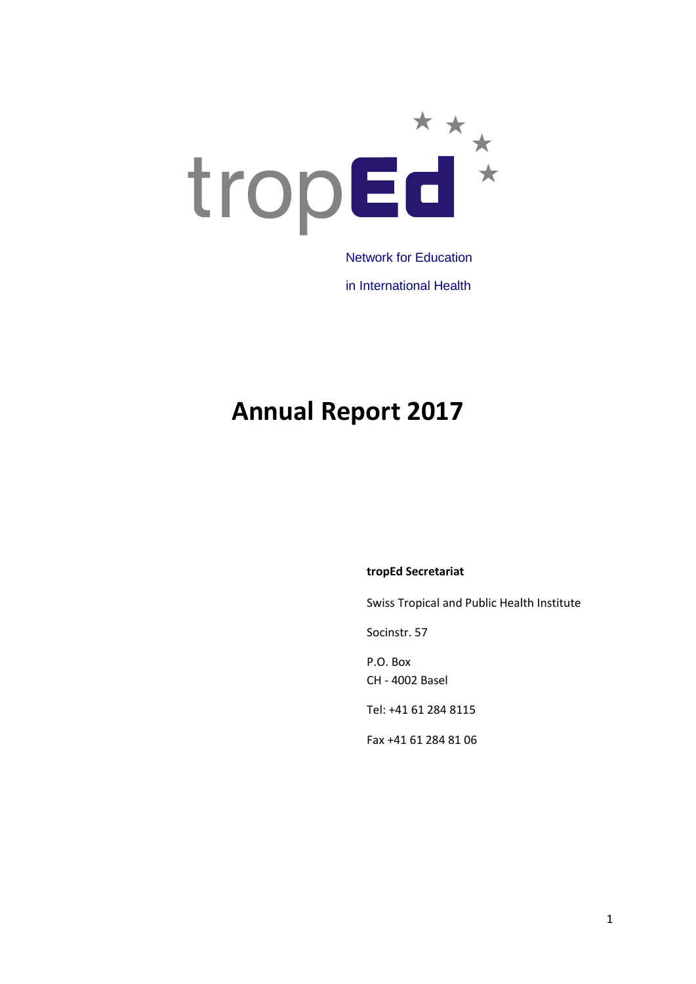

in International Health

# **Annual Report 2017**

#### **tropEd Secretariat**

Swiss Tropical and Public Health Institute

Socinstr. 57

P.O. Box CH - 4002 Basel

Tel: +41 61 284 8115

Fax +41 61 284 81 06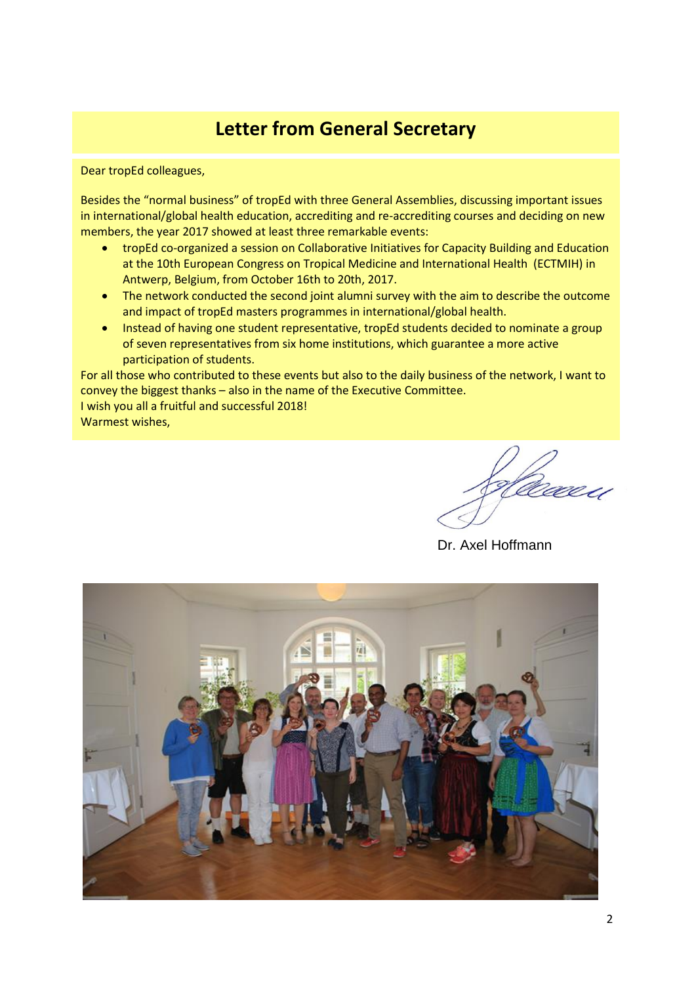## **Letter from General Secretary**

Dear tropEd colleagues,

Besides the "normal business" of tropEd with three General Assemblies, discussing important issues in international/global health education, accrediting and re-accrediting courses and deciding on new members, the year 2017 showed at least three remarkable events:

- tropEd co-organized a session on Collaborative Initiatives for Capacity Building and Education at the 10th European Congress on Tropical Medicine and International Health (ECTMIH) in Antwerp, Belgium, from October 16th to 20th, 2017.
- The network conducted the second joint alumni survey with the aim to describe the outcome and impact of tropEd masters programmes in international/global health.
- Instead of having one student representative, tropEd students decided to nominate a group of seven representatives from six home institutions, which guarantee a more active participation of students.

For all those who contributed to these events but also to the daily business of the network, I want to convey the biggest thanks – also in the name of the Executive Committee. I wish you all a fruitful and successful 2018! Warmest wishes,

Dr. Axel Hoffmann

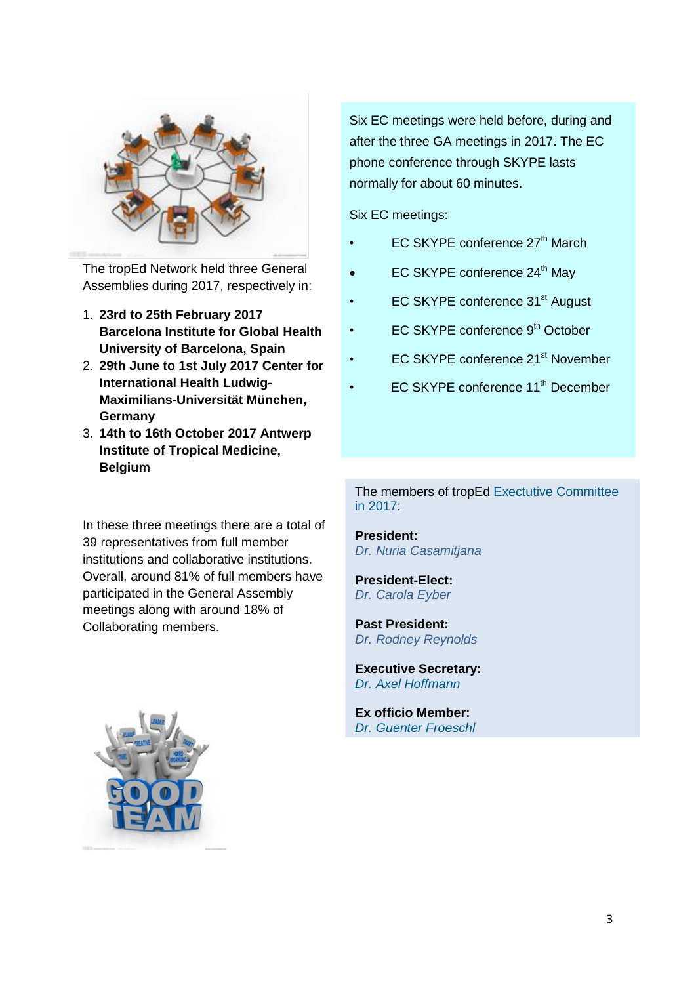

The tropEd Network held three General Assemblies during 2017, respectively in:

- 1. **23rd to 25th February 2017 Barcelona Institute for Global Health University of Barcelona, Spain**
- 2. **29th June to 1st July 2017 Center for International Health Ludwig-Maximilians-Universität München, Germany**
- 3. **14th to 16th October 2017 Antwerp Institute of Tropical Medicine, Belgium**

In these three meetings there are a total of 39 representatives from full member institutions and collaborative institutions. Overall, around 81% of full members have participated in the General Assembly meetings along with around 18% of Collaborating members.

Six EC meetings were held before, during and after the three GA meetings in 2017. The EC phone conference through SKYPE lasts normally for about 60 minutes.

Six EC meetings:

- EC SKYPE conference 27<sup>th</sup> March
- EC SKYPE conference 24<sup>th</sup> May
- EC SKYPE conference 31<sup>st</sup> August
- EC SKYPE conference 9<sup>th</sup> October
- EC SKYPE conference 21<sup>st</sup> November
- EC SKYPE conference 11<sup>th</sup> December

The members of tropEd [Exectutive Committee](http://www.troped.org/?q=node/74) in 2017:

**President:**  *Dr. Nuria Casamitjana*

**President-Elect:** *Dr. Carola Eyber*

**Past President:**  *Dr. Rodney Reynolds*

**Executive Secretary:** *Dr. Axel [Hoffmann](http://www.troped.org/?q=node/63)*

**Ex officio Member:** *[Dr.](http://www.troped.org/?q=node/67) Guenter Froeschl*

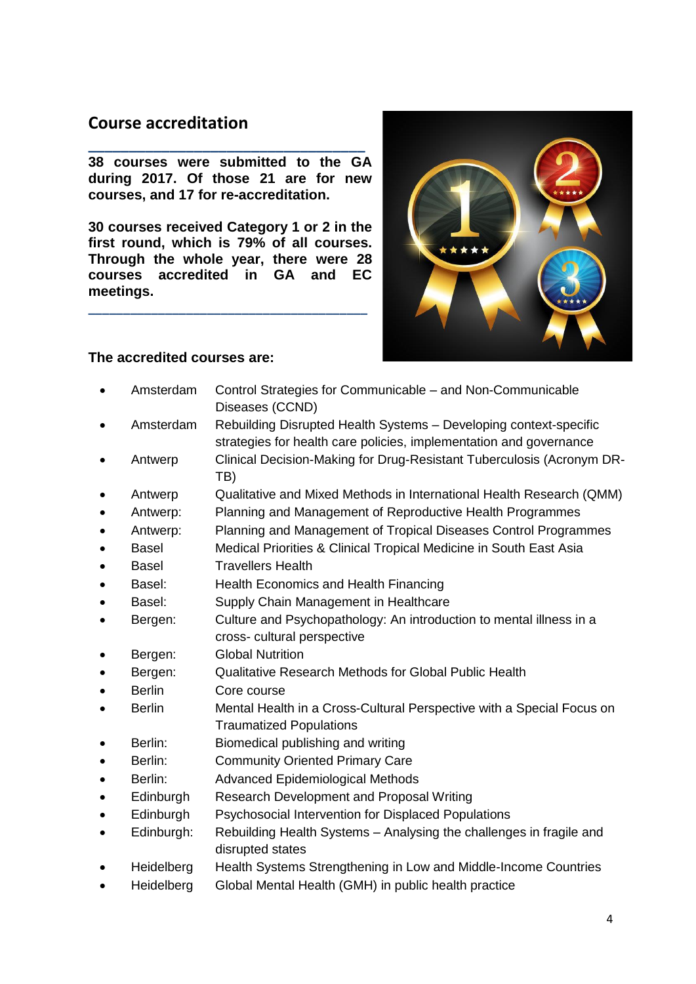## **Course accreditation**

**\_\_\_\_\_\_\_\_\_\_\_\_\_\_\_\_\_\_\_\_\_\_\_\_\_\_\_\_\_\_\_\_\_\_ 38 courses were submitted to the GA during 2017. Of those 21 are for new courses, and 17 for re-accreditation.**

**30 courses received Category 1 or 2 in the first round, which is 79% of all courses. Through the whole year, there were 28 courses accredited in GA and EC meetings.**

**\_\_\_\_\_\_\_\_\_\_\_\_\_\_\_\_\_\_\_\_\_\_\_\_\_\_\_\_\_\_\_\_\_\_\_\_\_\_\_\_**



#### **The accredited courses are:**

- Amsterdam Control Strategies for Communicable and Non-Communicable Diseases (CCND)
- Amsterdam Rebuilding Disrupted Health Systems Developing context-specific strategies for health care policies, implementation and governance
- Antwerp Clinical Decision-Making for Drug-Resistant Tuberculosis (Acronym DR-TB)
- Antwerp Qualitative and Mixed Methods in International Health Research (QMM)
- Antwerp: Planning and Management of Reproductive Health Programmes
- Antwerp: Planning and Management of Tropical Diseases Control Programmes
- Basel Medical Priorities & Clinical Tropical Medicine in South East Asia
- Basel **Travellers Health**
- Basel: Health Economics and Health Financing
- Basel: Supply Chain Management in Healthcare
- Bergen: Culture and Psychopathology: An introduction to mental illness in a cross- cultural perspective
- Bergen: Global Nutrition
- Bergen: Qualitative Research Methods for Global Public Health
- Berlin Core course
- Berlin Mental Health in a Cross-Cultural Perspective with a Special Focus on Traumatized Populations
- Berlin: Biomedical publishing and writing
- Berlin: Community Oriented Primary Care
- Berlin: Advanced Epidemiological Methods
- Edinburgh Research Development and Proposal Writing
- Edinburgh Psychosocial Intervention for Displaced Populations
- Edinburgh: Rebuilding Health Systems Analysing the challenges in fragile and disrupted states
- Heidelberg Health Systems Strengthening in Low and Middle-Income Countries
- Heidelberg Global Mental Health (GMH) in public health practice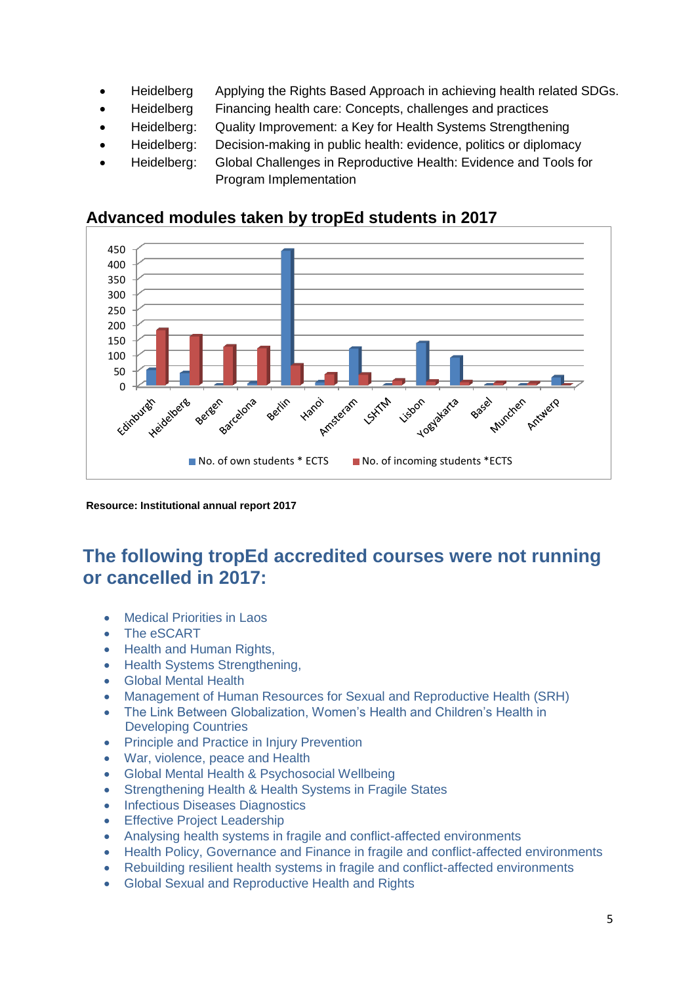- Heidelberg Applying the Rights Based Approach in achieving health related SDGs.
- Heidelberg Financing health care: Concepts, challenges and practices
- Heidelberg: Quality Improvement: a Key for Health Systems Strengthening
- Heidelberg: Decision-making in public health: evidence, politics or diplomacy
- Heidelberg: Global Challenges in Reproductive Health: Evidence and Tools for Program Implementation



### **Advanced modules taken by tropEd students in 2017**

**Resource: Institutional annual report 2017**

## **The following tropEd accredited courses were not running or cancelled in 2017:**

- Medical Priorities in Laos
- The eSCART
- Health and Human Rights,
- Health Systems Strengthening,
- Global Mental Health
- Management of Human Resources for Sexual and Reproductive Health (SRH)
- The Link Between Globalization, Women's Health and Children's Health in Developing Countries
- Principle and Practice in Injury Prevention
- War, violence, peace and Health
- Global Mental Health & Psychosocial Wellbeing
- Strengthening Health & Health Systems in Fragile States
- Infectious Diseases Diagnostics
- **•** Effective Project Leadership
- Analysing health systems in fragile and conflict-affected environments
- Health Policy, Governance and Finance in fragile and conflict-affected environments
- Rebuilding resilient health systems in fragile and conflict-affected environments
- Global Sexual and Reproductive Health and Rights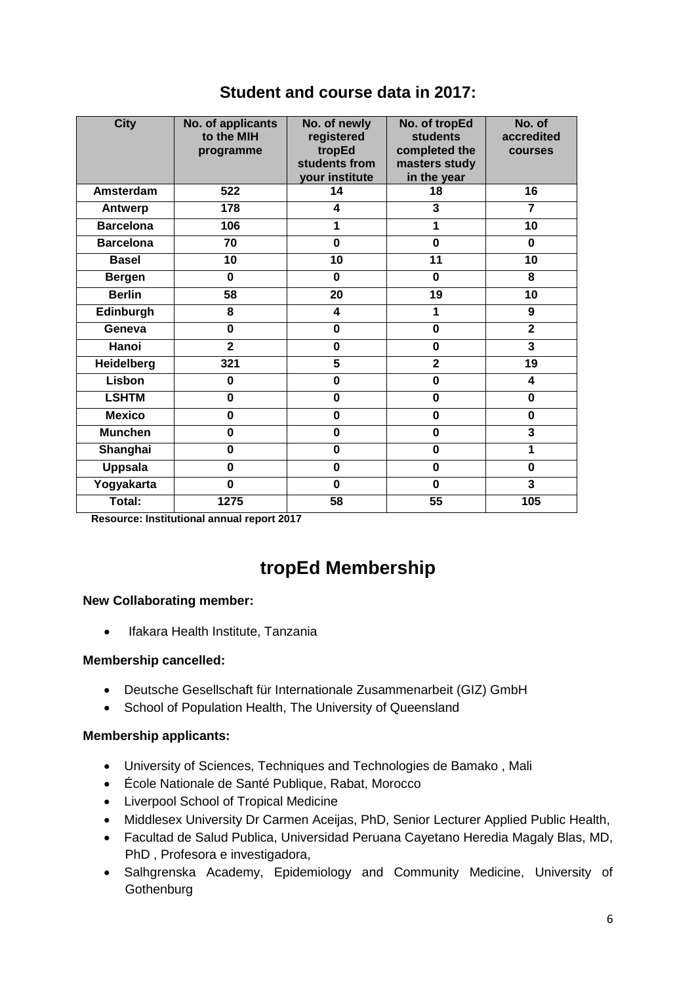| <b>City</b>      | No. of applicants<br>to the MIH<br>programme | No. of newly<br>registered<br>tropEd<br>students from<br>your institute | No. of tropEd<br><b>students</b><br>completed the<br>masters study<br>in the year | No. of<br>accredited<br>courses |
|------------------|----------------------------------------------|-------------------------------------------------------------------------|-----------------------------------------------------------------------------------|---------------------------------|
| Amsterdam        | 522                                          | 14                                                                      | 18                                                                                | 16                              |
| Antwerp          | 178                                          | 4                                                                       | 3                                                                                 | $\overline{7}$                  |
| <b>Barcelona</b> | 106                                          | 1                                                                       | 1                                                                                 | 10                              |
| <b>Barcelona</b> | 70                                           | $\bf{0}$                                                                | $\overline{\mathbf{0}}$                                                           | $\bf{0}$                        |
| <b>Basel</b>     | 10                                           | 10                                                                      | 11                                                                                | 10                              |
| <b>Bergen</b>    | 0                                            | $\bf{0}$                                                                | $\bf{0}$                                                                          | 8                               |
| <b>Berlin</b>    | 58                                           | 20                                                                      | 19                                                                                | 10                              |
| Edinburgh        | 8                                            | 4                                                                       | 1                                                                                 | 9                               |
| Geneva           | $\bf{0}$                                     | $\bf{0}$                                                                | $\bf{0}$                                                                          | $\overline{2}$                  |
| Hanoi            | $\mathbf{2}$                                 | $\bf{0}$                                                                | $\bf{0}$                                                                          | 3                               |
| Heidelberg       | 321                                          | 5                                                                       | $\overline{\mathbf{2}}$                                                           | 19                              |
| Lisbon           | $\mathbf 0$                                  | $\mathbf 0$                                                             | $\mathbf 0$                                                                       | 4                               |
| <b>LSHTM</b>     | 0                                            | $\bf{0}$                                                                | $\bf{0}$                                                                          | $\mathbf 0$                     |
| <b>Mexico</b>    | $\bf{0}$                                     | $\bf{0}$                                                                | $\bf{0}$                                                                          | 0                               |
| <b>Munchen</b>   | 0                                            | $\bf{0}$                                                                | $\bf{0}$                                                                          | 3                               |
| Shanghai         | $\bf{0}$                                     | $\bf{0}$                                                                | $\bf{0}$                                                                          | 1                               |
| <b>Uppsala</b>   | $\mathbf 0$                                  | $\mathbf 0$                                                             | $\mathbf 0$                                                                       | $\mathbf 0$                     |
| Yogyakarta       | $\bf{0}$                                     | $\bf{0}$                                                                | $\bf{0}$                                                                          | $\overline{\mathbf{3}}$         |
| Total:           | 1275                                         | 58                                                                      | 55                                                                                | 105                             |

## **Student and course data in 2017:**

**Resource: Institutional annual report 2017**

## **tropEd Membership**

#### **New Collaborating member:**

• Ifakara Health Institute, Tanzania

#### **Membership cancelled:**

- Deutsche Gesellschaft für Internationale Zusammenarbeit (GIZ) GmbH
- School of Population Health, The University of Queensland

#### **Membership applicants:**

- University of Sciences, Techniques and Technologies de Bamako , Mali
- École Nationale de Santé Publique, Rabat, Morocco
- Liverpool School of Tropical Medicine
- Middlesex University Dr Carmen Aceijas, PhD, Senior Lecturer Applied Public Health,
- Facultad de Salud Publica, Universidad Peruana Cayetano Heredia Magaly Blas, MD, PhD , Profesora e investigadora,
- Salhgrenska Academy, Epidemiology and Community Medicine, University of **Gothenburg**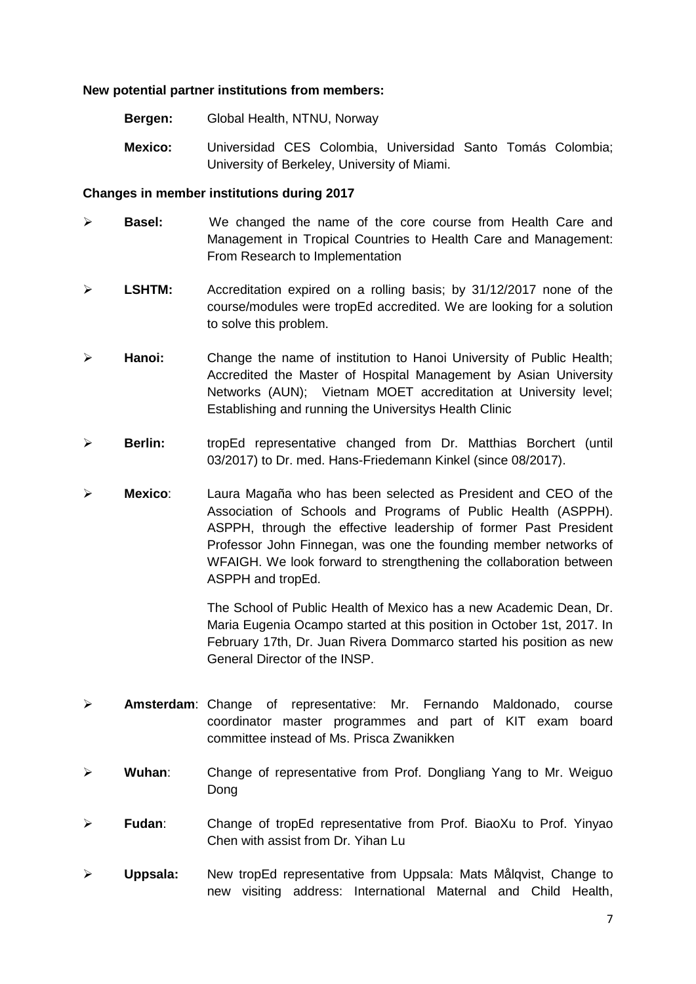#### **New potential partner institutions from members:**

- **Bergen:** Global Health, NTNU, Norway
- **Mexico:** Universidad CES Colombia, Universidad Santo Tomás Colombia; University of Berkeley, University of Miami.

#### **Changes in member institutions during 2017**

- **Basel:** We changed the name of the core course from Health Care and Management in Tropical Countries to Health Care and Management: From Research to Implementation
- **LSHTM:** Accreditation expired on a rolling basis; by 31/12/2017 none of the course/modules were tropEd accredited. We are looking for a solution to solve this problem.
- **Hanoi:** Change the name of institution to Hanoi University of Public Health; Accredited the Master of Hospital Management by Asian University Networks (AUN); Vietnam MOET accreditation at University level; Establishing and running the Universitys Health Clinic
- **Berlin:** tropEd representative changed from Dr. Matthias Borchert (until 03/2017) to Dr. med. Hans-Friedemann Kinkel (since 08/2017).
- **Mexico**: Laura Magaña who has been selected as President and CEO of the Association of Schools and Programs of Public Health (ASPPH). ASPPH, through the effective leadership of former Past President Professor John Finnegan, was one the founding member networks of WFAIGH. We look forward to strengthening the collaboration between ASPPH and tropEd.

The School of Public Health of Mexico has a new Academic Dean, Dr. Maria Eugenia Ocampo started at this position in October 1st, 2017. In February 17th, Dr. Juan Rivera Dommarco started his position as new General Director of the INSP.

- **Amsterdam**: Change of representative: Mr. Fernando Maldonado, course coordinator master programmes and part of KIT exam board committee instead of Ms. Prisca Zwanikken
- **Wuhan**: Change of representative from Prof. Dongliang Yang to Mr. Weiguo Dong
- **Fudan**: Change of tropEd representative from Prof. BiaoXu to Prof. Yinyao Chen with assist from Dr. Yihan Lu
- **Uppsala:** New tropEd representative from Uppsala: Mats Målqvist, Change to new visiting address: International Maternal and Child Health,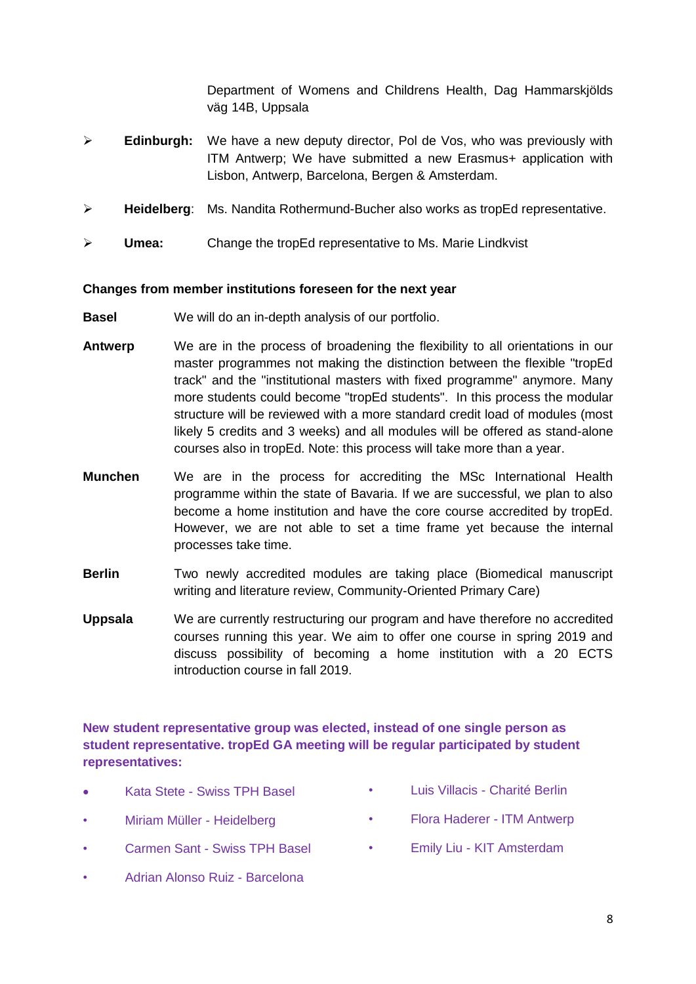Department of Womens and Childrens Health, Dag Hammarskjölds väg 14B, Uppsala

- Edinburgh: We have a new deputy director, Pol de Vos, who was previously with ITM Antwerp; We have submitted a new Erasmus+ application with Lisbon, Antwerp, Barcelona, Bergen & Amsterdam.
- **Heidelberg**: Ms. Nandita Rothermund-Bucher also works as tropEd representative.
- **Umea:** Change the tropEd representative to Ms. Marie Lindkvist

#### **Changes from member institutions foreseen for the next year**

- **Basel** We will do an in-depth analysis of our portfolio.
- **Antwerp** We are in the process of broadening the flexibility to all orientations in our master programmes not making the distinction between the flexible "tropEd track" and the "institutional masters with fixed programme" anymore. Many more students could become "tropEd students". In this process the modular structure will be reviewed with a more standard credit load of modules (most likely 5 credits and 3 weeks) and all modules will be offered as stand-alone courses also in tropEd. Note: this process will take more than a year.
- **Munchen** We are in the process for accrediting the MSc International Health programme within the state of Bavaria. If we are successful, we plan to also become a home institution and have the core course accredited by tropEd. However, we are not able to set a time frame yet because the internal processes take time.
- **Berlin** Two newly accredited modules are taking place (Biomedical manuscript writing and literature review, Community-Oriented Primary Care)
- **Uppsala** We are currently restructuring our program and have therefore no accredited courses running this year. We aim to offer one course in spring 2019 and discuss possibility of becoming a home institution with a 20 ECTS introduction course in fall 2019.

#### **New student representative group was elected, instead of one single person as student representative. tropEd GA meeting will be regular participated by student representatives:**

- Kata Stete Swiss TPH Basel
- Miriam Müller Heidelberg
- Carmen Sant Swiss TPH Basel
- Adrian Alonso Ruiz Barcelona
- Luis Villacis Charité Berlin
- Flora Haderer ITM Antwerp
- Emily Liu KIT Amsterdam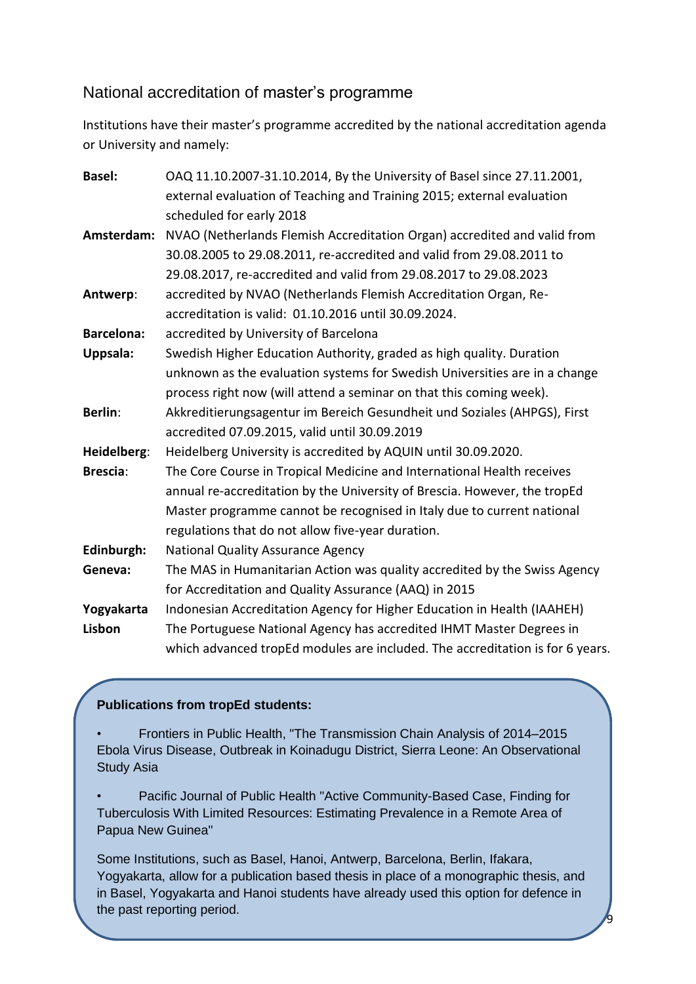### National accreditation of master's programme

Institutions have their master's programme accredited by the national accreditation agenda or University and namely:

| <b>Basel:</b>     | OAQ 11.10.2007-31.10.2014, By the University of Basel since 27.11.2001,       |
|-------------------|-------------------------------------------------------------------------------|
|                   | external evaluation of Teaching and Training 2015; external evaluation        |
|                   | scheduled for early 2018                                                      |
| Amsterdam:        | NVAO (Netherlands Flemish Accreditation Organ) accredited and valid from      |
|                   | 30.08.2005 to 29.08.2011, re-accredited and valid from 29.08.2011 to          |
|                   | 29.08.2017, re-accredited and valid from 29.08.2017 to 29.08.2023             |
| Antwerp:          | accredited by NVAO (Netherlands Flemish Accreditation Organ, Re-              |
|                   | accreditation is valid: 01.10.2016 until 30.09.2024.                          |
| <b>Barcelona:</b> | accredited by University of Barcelona                                         |
| <b>Uppsala:</b>   | Swedish Higher Education Authority, graded as high quality. Duration          |
|                   | unknown as the evaluation systems for Swedish Universities are in a change    |
|                   | process right now (will attend a seminar on that this coming week).           |
| <b>Berlin:</b>    | Akkreditierungsagentur im Bereich Gesundheit und Soziales (AHPGS), First      |
|                   | accredited 07.09.2015, valid until 30.09.2019                                 |
| Heidelberg:       | Heidelberg University is accredited by AQUIN until 30.09.2020.                |
| <b>Brescia:</b>   | The Core Course in Tropical Medicine and International Health receives        |
|                   | annual re-accreditation by the University of Brescia. However, the tropEd     |
|                   | Master programme cannot be recognised in Italy due to current national        |
|                   | regulations that do not allow five-year duration.                             |
| Edinburgh:        | <b>National Quality Assurance Agency</b>                                      |
| Geneva:           | The MAS in Humanitarian Action was quality accredited by the Swiss Agency     |
|                   | for Accreditation and Quality Assurance (AAQ) in 2015                         |
| Yogyakarta        | Indonesian Accreditation Agency for Higher Education in Health (IAAHEH)       |
| Lisbon            | The Portuguese National Agency has accredited IHMT Master Degrees in          |
|                   | which advanced tropEd modules are included. The accreditation is for 6 years. |

#### **Publications from tropEd students:**

• Frontiers in Public Health, "The Transmission Chain Analysis of 2014–2015 Ebola Virus Disease, Outbreak in Koinadugu District, Sierra Leone: An Observational Study Asia

• Pacific Journal of Public Health "Active Community-Based Case, Finding for Tuberculosis With Limited Resources: Estimating Prevalence in a Remote Area of Papua New Guinea"

Some Institutions, such as Basel, Hanoi, Antwerp, Barcelona, Berlin, Ifakara, Yogyakarta, allow for a publication based thesis in place of a monographic thesis, and in Basel, Yogyakarta and Hanoi students have already used this option for defence in the past reporting period.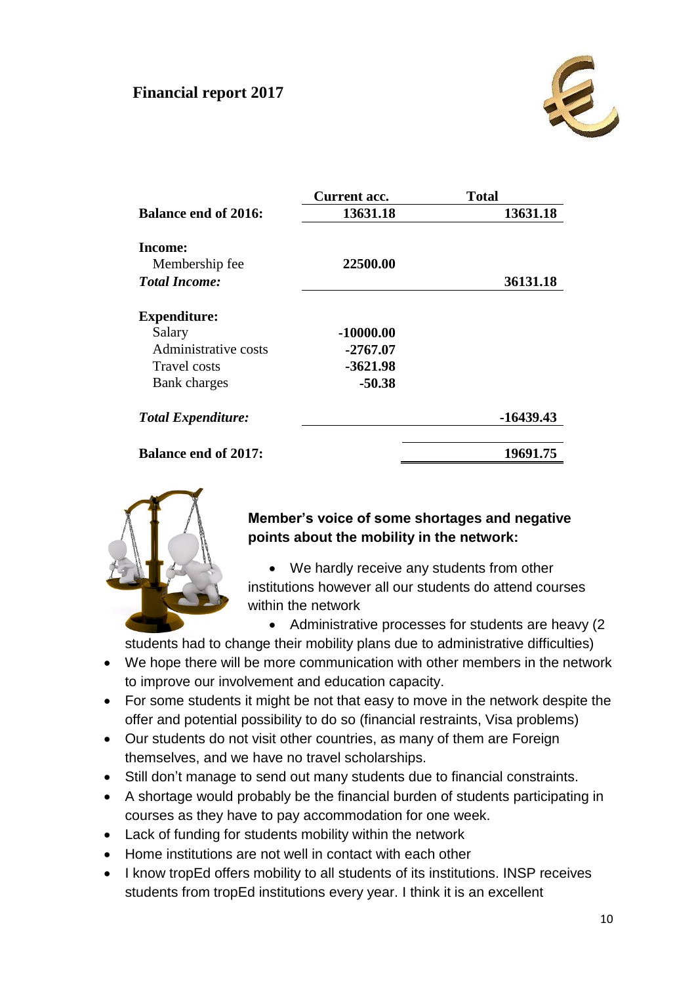## **Financial report 2017**



|                             | Current acc. | <b>Total</b> |
|-----------------------------|--------------|--------------|
| <b>Balance end of 2016:</b> | 13631.18     | 13631.18     |
| Income:                     |              |              |
| Membership fee              | 22500.00     |              |
| <b>Total Income:</b>        |              | 36131.18     |
| <b>Expenditure:</b>         |              |              |
| Salary                      | $-10000.00$  |              |
| Administrative costs        | -2767.07     |              |
| Travel costs                | $-3621.98$   |              |
| Bank charges                | $-50.38$     |              |
| <b>Total Expenditure:</b>   |              | -16439.43    |
| <b>Balance end of 2017:</b> |              | 19691.75     |



#### **Member's voice of some shortages and negative points about the mobility in the network:**

 We hardly receive any students from other institutions however all our students do attend courses within the network

• Administrative processes for students are heavy (2)

students had to change their mobility plans due to administrative difficulties)

- We hope there will be more communication with other members in the network to improve our involvement and education capacity.
- For some students it might be not that easy to move in the network despite the offer and potential possibility to do so (financial restraints, Visa problems)
- Our students do not visit other countries, as many of them are Foreign themselves, and we have no travel scholarships.
- Still don't manage to send out many students due to financial constraints.
- A shortage would probably be the financial burden of students participating in courses as they have to pay accommodation for one week.
- Lack of funding for students mobility within the network
- Home institutions are not well in contact with each other
- I know tropEd offers mobility to all students of its institutions. INSP receives students from tropEd institutions every year. I think it is an excellent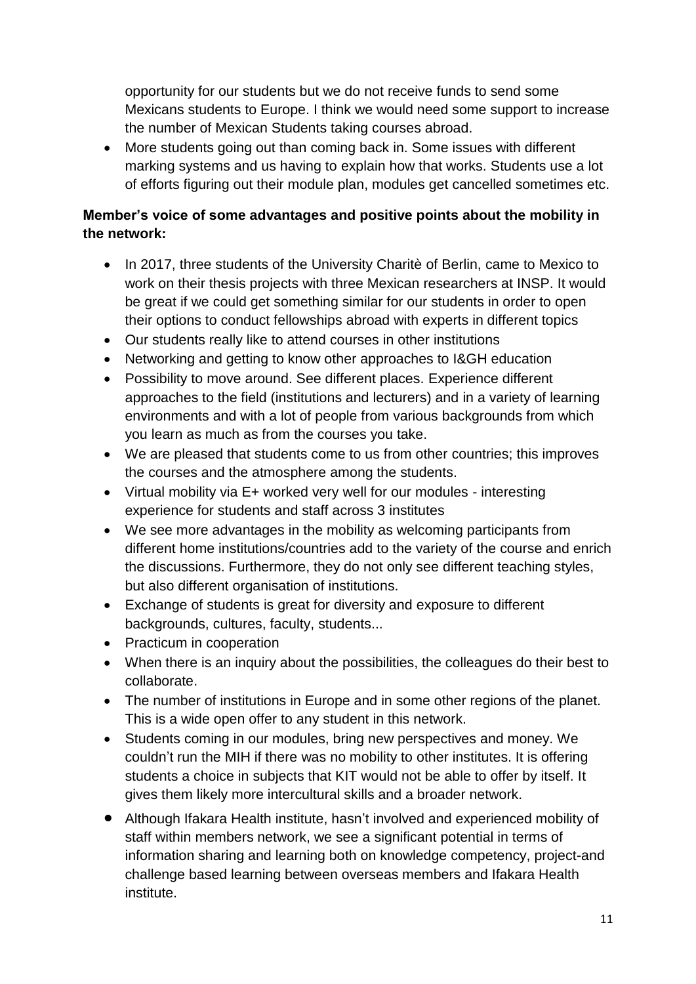opportunity for our students but we do not receive funds to send some Mexicans students to Europe. I think we would need some support to increase the number of Mexican Students taking courses abroad.

 More students going out than coming back in. Some issues with different marking systems and us having to explain how that works. Students use a lot of efforts figuring out their module plan, modules get cancelled sometimes etc.

### **Member's voice of some advantages and positive points about the mobility in the network:**

- In 2017, three students of the University Charitè of Berlin, came to Mexico to work on their thesis projects with three Mexican researchers at INSP. It would be great if we could get something similar for our students in order to open their options to conduct fellowships abroad with experts in different topics
- Our students really like to attend courses in other institutions
- Networking and getting to know other approaches to I&GH education
- Possibility to move around. See different places. Experience different approaches to the field (institutions and lecturers) and in a variety of learning environments and with a lot of people from various backgrounds from which you learn as much as from the courses you take.
- We are pleased that students come to us from other countries; this improves the courses and the atmosphere among the students.
- Virtual mobility via E+ worked very well for our modules interesting experience for students and staff across 3 institutes
- We see more advantages in the mobility as welcoming participants from different home institutions/countries add to the variety of the course and enrich the discussions. Furthermore, they do not only see different teaching styles, but also different organisation of institutions.
- Exchange of students is great for diversity and exposure to different backgrounds, cultures, faculty, students...
- Practicum in cooperation
- When there is an inquiry about the possibilities, the colleagues do their best to collaborate.
- The number of institutions in Europe and in some other regions of the planet. This is a wide open offer to any student in this network.
- Students coming in our modules, bring new perspectives and money. We couldn't run the MIH if there was no mobility to other institutes. It is offering students a choice in subjects that KIT would not be able to offer by itself. It gives them likely more intercultural skills and a broader network.
- Although Ifakara Health institute, hasn't involved and experienced mobility of staff within members network, we see a significant potential in terms of information sharing and learning both on knowledge competency, project-and challenge based learning between overseas members and Ifakara Health institute.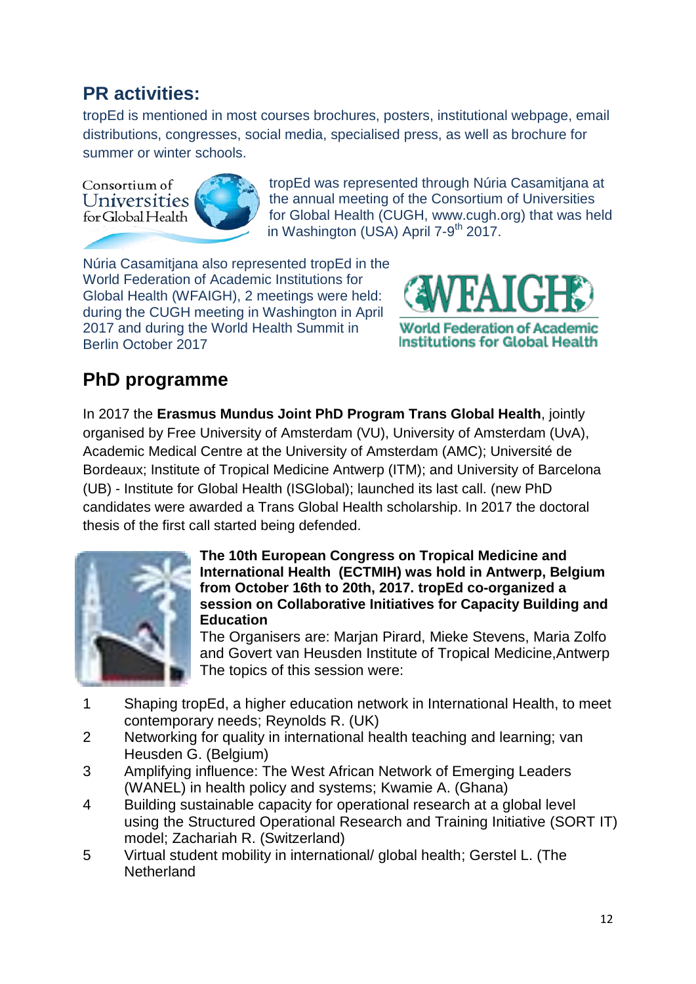## **PR activities:**

tropEd is mentioned in most courses brochures, posters, institutional webpage, email distributions, congresses, social media, specialised press, as well as brochure for summer or winter schools.

Consortium of Universities for Global Health



tropEd was represented through Núria Casamitjana at the annual meeting of the Consortium of Universities for Global Health (CUGH, [www.cugh.org\)](http://www.cugh.org/) that was held in Washington (USA) April 7-9<sup>th</sup> 2017.

Núria Casamitjana also represented tropEd in the World Federation of Academic Institutions for Global Health (WFAIGH), 2 meetings were held: during the CUGH meeting in Washington in April 2017 and during the World Health Summit in Berlin October 2017



## **PhD programme**

In 2017 the **Erasmus Mundus Joint PhD Program Trans Global Health**, jointly organised by Free University of Amsterdam (VU), University of Amsterdam (UvA), Academic Medical Centre at the University of Amsterdam (AMC); Université de Bordeaux; Institute of Tropical Medicine Antwerp (ITM); and University of Barcelona (UB) - Institute for Global Health (ISGlobal); launched its last call. (new PhD candidates were awarded a Trans Global Health scholarship. In 2017 the doctoral thesis of the first call started being defended.



#### **The 10th European Congress on Tropical Medicine and International Health (ECTMIH) was hold in Antwerp, Belgium from October 16th to 20th, 2017. tropEd co-organized a session on Collaborative Initiatives for Capacity Building and Education**

The Organisers are: Marjan Pirard, Mieke Stevens, Maria Zolfo and Govert van Heusden Institute of Tropical Medicine,Antwerp The topics of this session were:

- 1 Shaping tropEd, a higher education network in International Health, to meet contemporary needs; Reynolds R. (UK)
- 2 Networking for quality in international health teaching and learning; van Heusden G. (Belgium)
- 3 Amplifying influence: The West African Network of Emerging Leaders (WANEL) in health policy and systems; Kwamie A. (Ghana)
- 4 Building sustainable capacity for operational research at a global level using the Structured Operational Research and Training Initiative (SORT IT) model; Zachariah R. (Switzerland)
- 5 Virtual student mobility in international/ global health; Gerstel L. (The **Netherland**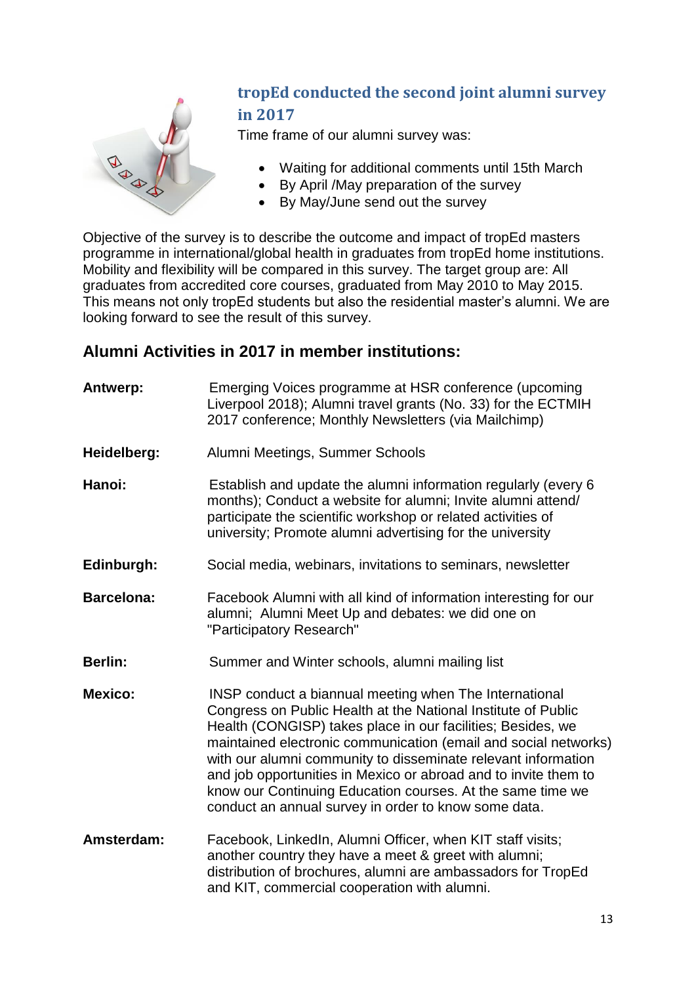

## **tropEd conducted the second joint alumni survey in 2017**

Time frame of our alumni survey was:

- Waiting for additional comments until 15th March
- By April /May preparation of the survey
- By May/June send out the survey

Objective of the survey is to describe the outcome and impact of tropEd masters programme in international/global health in graduates from tropEd home institutions. Mobility and flexibility will be compared in this survey. The target group are: All graduates from accredited core courses, graduated from May 2010 to May 2015. This means not only tropEd students but also the residential master's alumni. We are looking forward to see the result of this survey.

## **Alumni Activities in 2017 in member institutions:**

| Antwerp:          | Emerging Voices programme at HSR conference (upcoming<br>Liverpool 2018); Alumni travel grants (No. 33) for the ECTMIH<br>2017 conference; Monthly Newsletters (via Mailchimp)                                                                                                                                                                                                                                                                                                                                      |  |  |
|-------------------|---------------------------------------------------------------------------------------------------------------------------------------------------------------------------------------------------------------------------------------------------------------------------------------------------------------------------------------------------------------------------------------------------------------------------------------------------------------------------------------------------------------------|--|--|
| Heidelberg:       | Alumni Meetings, Summer Schools                                                                                                                                                                                                                                                                                                                                                                                                                                                                                     |  |  |
| Hanoi:            | Establish and update the alumni information regularly (every 6<br>months); Conduct a website for alumni; Invite alumni attend/<br>participate the scientific workshop or related activities of<br>university; Promote alumni advertising for the university                                                                                                                                                                                                                                                         |  |  |
| Edinburgh:        | Social media, webinars, invitations to seminars, newsletter                                                                                                                                                                                                                                                                                                                                                                                                                                                         |  |  |
| <b>Barcelona:</b> | Facebook Alumni with all kind of information interesting for our<br>alumni; Alumni Meet Up and debates: we did one on<br>"Participatory Research"                                                                                                                                                                                                                                                                                                                                                                   |  |  |
| <b>Berlin:</b>    | Summer and Winter schools, alumni mailing list                                                                                                                                                                                                                                                                                                                                                                                                                                                                      |  |  |
| <b>Mexico:</b>    | INSP conduct a biannual meeting when The International<br>Congress on Public Health at the National Institute of Public<br>Health (CONGISP) takes place in our facilities; Besides, we<br>maintained electronic communication (email and social networks)<br>with our alumni community to disseminate relevant information<br>and job opportunities in Mexico or abroad and to invite them to<br>know our Continuing Education courses. At the same time we<br>conduct an annual survey in order to know some data. |  |  |
| Amsterdam:        | Facebook, LinkedIn, Alumni Officer, when KIT staff visits;<br>another country they have a meet & greet with alumni;<br>distribution of brochures, alumni are ambassadors for TropEd<br>and KIT, commercial cooperation with alumni.                                                                                                                                                                                                                                                                                 |  |  |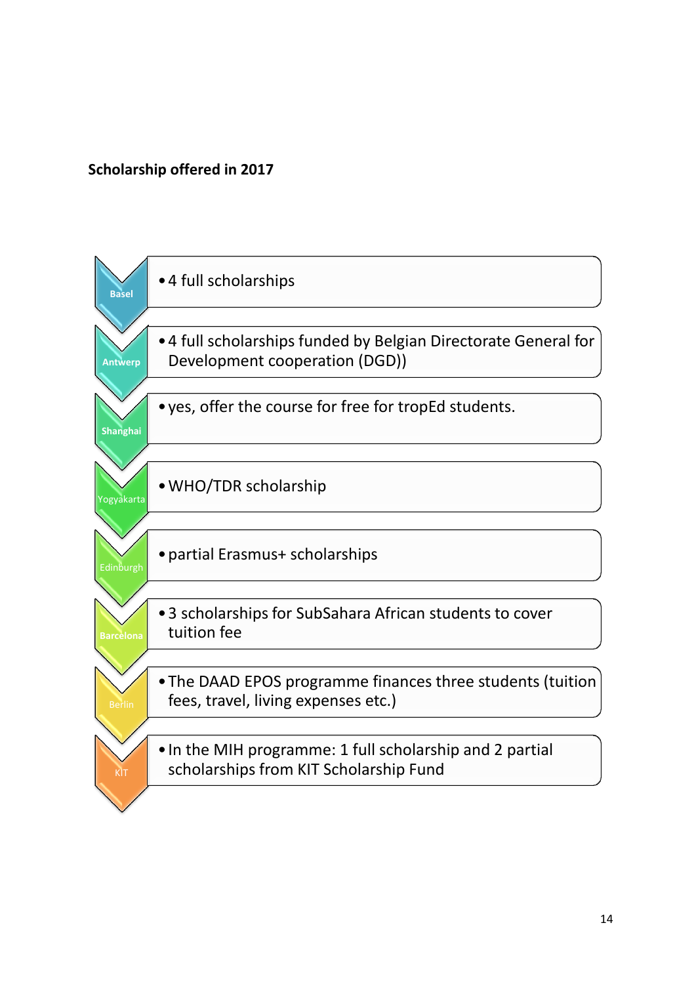### **Scholarship offered in 2017**